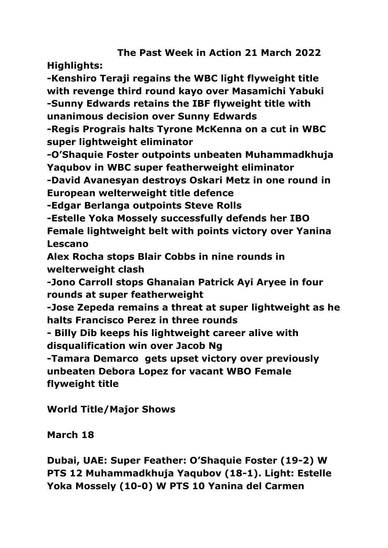# **The Past Week in Action 21 March 2022**

**Highlights:**

**-Kenshiro Teraji regains the WBC light flyweight title with revenge third round kayo over Masamichi Yabuki -Sunny Edwards retains the IBF flyweight title with unanimous decision over Sunny Edwards**

**-Regis Prograis halts Tyrone McKenna on a cut in WBC super lightweight eliminator**

**-O'Shaquie Foster outpoints unbeaten Muhammadkhuja Yaqubov in WBC super featherweight eliminator**

**-David Avanesyan destroys Oskari Metz in one round in European welterweight title defence**

**-Edgar Berlanga outpoints Steve Rolls**

**-Estelle Yoka Mossely successfully defends her IBO Female lightweight belt with points victory over Yanina Lescano**

**Alex Rocha stops Blair Cobbs in nine rounds in welterweight clash**

**-Jono Carroll stops Ghanaian Patrick Ayi Aryee in four rounds at super featherweight**

**-Jose Zepeda remains a threat at super lightweight as he halts Francisco Perez in three rounds**

**- Billy Dib keeps his lightweight career alive with disqualification win over Jacob Ng**

**-Tamara Demarco gets upset victory over previously unbeaten Debora Lopez for vacant WBO Female flyweight title**

**World Title/Major Shows**

**March 18**

**Dubai, UAE: Super Feather: O'Shaquie Foster (19-2) W PTS 12 Muhammadkhuja Yaqubov (18-1). Light: Estelle Yoka Mossely (10-0) W PTS 10 Yanina del Carmen**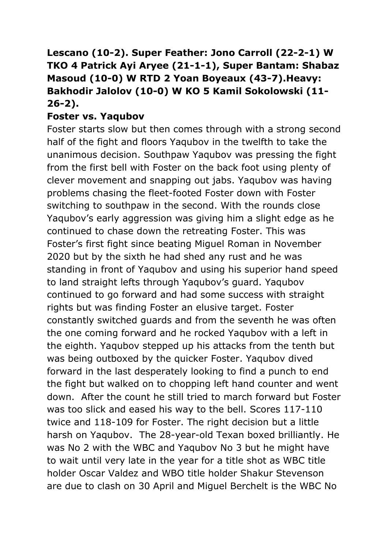# **Lescano (10-2). Super Feather: Jono Carroll (22-2-1) W TKO 4 Patrick Ayi Aryee (21-1-1), Super Bantam: Shabaz Masoud (10-0) W RTD 2 Yoan Boyeaux (43-7).Heavy: Bakhodir Jalolov (10-0) W KO 5 Kamil Sokolowski (11- 26-2).**

### **Foster vs. Yaqubov**

Foster starts slow but then comes through with a strong second half of the fight and floors Yaqubov in the twelfth to take the unanimous decision. Southpaw Yaqubov was pressing the fight from the first bell with Foster on the back foot using plenty of clever movement and snapping out jabs. Yaqubov was having problems chasing the fleet-footed Foster down with Foster switching to southpaw in the second. With the rounds close Yaqubov's early aggression was giving him a slight edge as he continued to chase down the retreating Foster. This was Foster's first fight since beating Miguel Roman in November 2020 but by the sixth he had shed any rust and he was standing in front of Yaqubov and using his superior hand speed to land straight lefts through Yaqubov's guard. Yaqubov continued to go forward and had some success with straight rights but was finding Foster an elusive target. Foster constantly switched guards and from the seventh he was often the one coming forward and he rocked Yaqubov with a left in the eighth. Yaqubov stepped up his attacks from the tenth but was being outboxed by the quicker Foster. Yaqubov dived forward in the last desperately looking to find a punch to end the fight but walked on to chopping left hand counter and went down. After the count he still tried to march forward but Foster was too slick and eased his way to the bell. Scores 117-110 twice and 118-109 for Foster. The right decision but a little harsh on Yaqubov. The 28-year-old Texan boxed brilliantly. He was No 2 with the WBC and Yaqubov No 3 but he might have to wait until very late in the year for a title shot as WBC title holder Oscar Valdez and WBO title holder Shakur Stevenson are due to clash on 30 April and Miguel Berchelt is the WBC No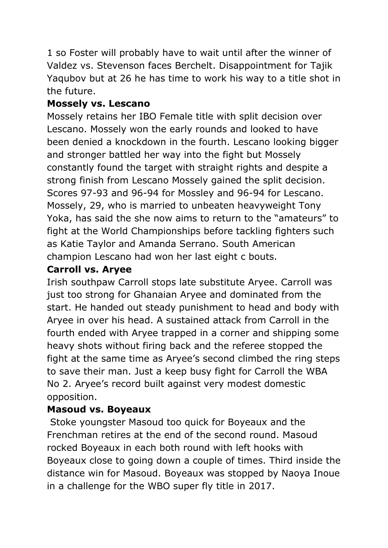1 so Foster will probably have to wait until after the winner of Valdez vs. Stevenson faces Berchelt. Disappointment for Tajik Yaqubov but at 26 he has time to work his way to a title shot in the future.

# **Mossely vs. Lescano**

Mossely retains her IBO Female title with split decision over Lescano. Mossely won the early rounds and looked to have been denied a knockdown in the fourth. Lescano looking bigger and stronger battled her way into the fight but Mossely constantly found the target with straight rights and despite a strong finish from Lescano Mossely gained the split decision. Scores 97-93 and 96-94 for Mossley and 96-94 for Lescano. Mossely, 29, who is married to unbeaten heavyweight Tony Yoka, has said the she now aims to return to the "amateurs" to fight at the World Championships before tackling fighters such as Katie Taylor and Amanda Serrano. South American champion Lescano had won her last eight c bouts.

# **Carroll vs. Aryee**

Irish southpaw Carroll stops late substitute Aryee. Carroll was just too strong for Ghanaian Aryee and dominated from the start. He handed out steady punishment to head and body with Aryee in over his head. A sustained attack from Carroll in the fourth ended with Aryee trapped in a corner and shipping some heavy shots without firing back and the referee stopped the fight at the same time as Aryee's second climbed the ring steps to save their man. Just a keep busy fight for Carroll the WBA No 2. Aryee's record built against very modest domestic opposition.

# **Masoud vs. Boyeaux**

Stoke youngster Masoud too quick for Boyeaux and the Frenchman retires at the end of the second round. Masoud rocked Boyeaux in each both round with left hooks with Boyeaux close to going down a couple of times. Third inside the distance win for Masoud. Boyeaux was stopped by Naoya Inoue in a challenge for the WBO super fly title in 2017.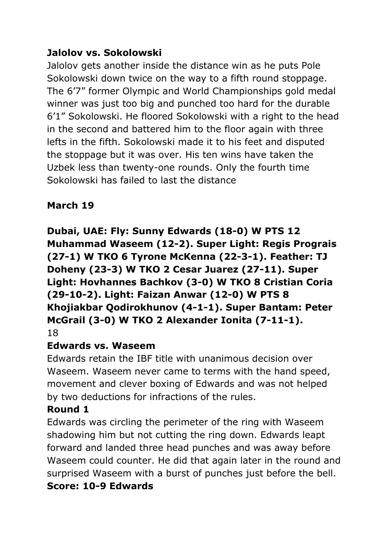# **Jalolov vs. Sokolowski**

Jalolov gets another inside the distance win as he puts Pole Sokolowski down twice on the way to a fifth round stoppage. The 6'7" former Olympic and World Championships gold medal winner was just too big and punched too hard for the durable 6'1" Sokolowski. He floored Sokolowski with a right to the head in the second and battered him to the floor again with three lefts in the fifth. Sokolowski made it to his feet and disputed the stoppage but it was over. His ten wins have taken the Uzbek less than twenty-one rounds. Only the fourth time Sokolowski has failed to last the distance

## **March 19**

**Dubai, UAE: Fly: Sunny Edwards (18-0) W PTS 12 Muhammad Waseem (12-2). Super Light: Regis Prograis (27-1) W TKO 6 Tyrone McKenna (22-3-1). Feather: TJ Doheny (23-3) W TKO 2 Cesar Juarez (27-11). Super Light: Hovhannes Bachkov (3-0) W TKO 8 Cristian Coria (29-10-2). Light: Faizan Anwar (12-0) W PTS 8 Khojiakbar Qodirokhunov (4-1-1). Super Bantam: Peter McGrail (3-0) W TKO 2 Alexander Ionita (7-11-1).** 18

## **Edwards vs. Waseem**

Edwards retain the IBF title with unanimous decision over Waseem. Waseem never came to terms with the hand speed, movement and clever boxing of Edwards and was not helped by two deductions for infractions of the rules.

## **Round 1**

Edwards was circling the perimeter of the ring with Waseem shadowing him but not cutting the ring down. Edwards leapt forward and landed three head punches and was away before Waseem could counter. He did that again later in the round and surprised Waseem with a burst of punches just before the bell. **Score: 10-9 Edwards**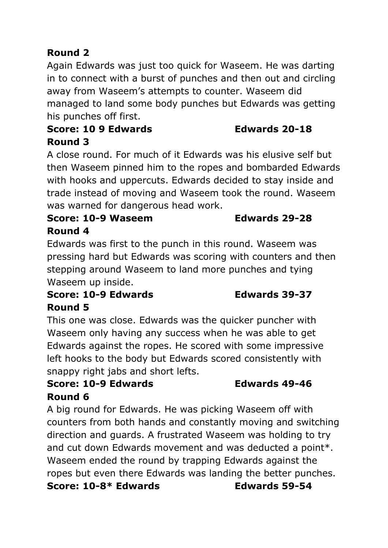# **Round 2**

Again Edwards was just too quick for Waseem. He was darting in to connect with a burst of punches and then out and circling away from Waseem's attempts to counter. Waseem did managed to land some body punches but Edwards was getting his punches off first.

## **Score: 10 9 Edwards Edwards 20-18 Round 3**

A close round. For much of it Edwards was his elusive self but then Waseem pinned him to the ropes and bombarded Edwards with hooks and uppercuts. Edwards decided to stay inside and trade instead of moving and Waseem took the round. Waseem was warned for dangerous head work.

## **Score: 10-9 Waseem Edwards 29-28 Round 4**

Edwards was first to the punch in this round. Waseem was pressing hard but Edwards was scoring with counters and then stepping around Waseem to land more punches and tying Waseem up inside.

# **Score: 10-9 Edwards Edwards 39-37 Round 5**

This one was close. Edwards was the quicker puncher with Waseem only having any success when he was able to get Edwards against the ropes. He scored with some impressive left hooks to the body but Edwards scored consistently with snappy right jabs and short lefts.

## **Score: 10-9 Edwards Edwards 49-46 Round 6**

A big round for Edwards. He was picking Waseem off with counters from both hands and constantly moving and switching direction and guards. A frustrated Waseem was holding to try and cut down Edwards movement and was deducted a point\*. Waseem ended the round by trapping Edwards against the ropes but even there Edwards was landing the better punches. **Score: 10-8\* Edwards Edwards 59-54**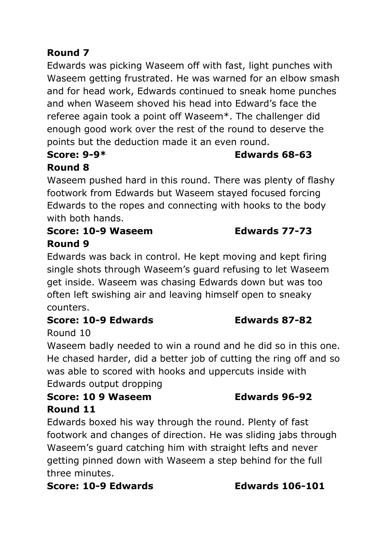# **Round 7**

Edwards was picking Waseem off with fast, light punches with Waseem getting frustrated. He was warned for an elbow smash and for head work, Edwards continued to sneak home punches and when Waseem shoved his head into Edward's face the referee again took a point off Waseem\*. The challenger did enough good work over the rest of the round to deserve the points but the deduction made it an even round.

### **Score: 9-9\* Edwards 68-63 Round 8**

# Waseem pushed hard in this round. There was plenty of flashy footwork from Edwards but Waseem stayed focused forcing Edwards to the ropes and connecting with hooks to the body with both hands.

# **Score: 10-9 Waseem Edwards 77-73 Round 9**

Edwards was back in control. He kept moving and kept firing single shots through Waseem's guard refusing to let Waseem get inside. Waseem was chasing Edwards down but was too often left swishing air and leaving himself open to sneaky counters.

# **Score: 10-9 Edwards Edwards 87-82**

# Round 10

Waseem badly needed to win a round and he did so in this one. He chased harder, did a better job of cutting the ring off and so was able to scored with hooks and uppercuts inside with Edwards output dropping

# **Score: 10 9 Waseem Edwards 96-92 Round 11**

Edwards boxed his way through the round. Plenty of fast footwork and changes of direction. He was sliding jabs through Waseem's guard catching him with straight lefts and never getting pinned down with Waseem a step behind for the full three minutes.

## **Score: 10-9 Edwards Edwards 106-101**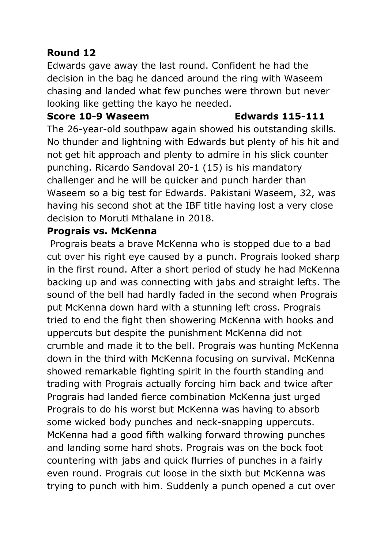# **Round 12**

Edwards gave away the last round. Confident he had the decision in the bag he danced around the ring with Waseem chasing and landed what few punches were thrown but never looking like getting the kayo he needed.

### **Score 10-9 Waseem Edwards 115-111**

The 26-year-old southpaw again showed his outstanding skills. No thunder and lightning with Edwards but plenty of his hit and not get hit approach and plenty to admire in his slick counter punching. Ricardo Sandoval 20-1 (15) is his mandatory challenger and he will be quicker and punch harder than Waseem so a big test for Edwards. Pakistani Waseem, 32, was having his second shot at the IBF title having lost a very close decision to Moruti Mthalane in 2018.

## **Prograis vs. McKenna**

Prograis beats a brave McKenna who is stopped due to a bad cut over his right eye caused by a punch. Prograis looked sharp in the first round. After a short period of study he had McKenna backing up and was connecting with jabs and straight lefts. The sound of the bell had hardly faded in the second when Prograis put McKenna down hard with a stunning left cross. Prograis tried to end the fight then showering McKenna with hooks and uppercuts but despite the punishment McKenna did not crumble and made it to the bell. Prograis was hunting McKenna down in the third with McKenna focusing on survival. McKenna showed remarkable fighting spirit in the fourth standing and trading with Prograis actually forcing him back and twice after Prograis had landed fierce combination McKenna just urged Prograis to do his worst but McKenna was having to absorb some wicked body punches and neck-snapping uppercuts. McKenna had a good fifth walking forward throwing punches and landing some hard shots. Prograis was on the bock foot countering with jabs and quick flurries of punches in a fairly even round. Prograis cut loose in the sixth but McKenna was trying to punch with him. Suddenly a punch opened a cut over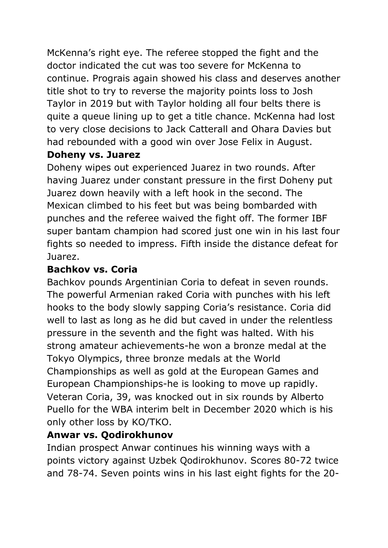McKenna's right eye. The referee stopped the fight and the doctor indicated the cut was too severe for McKenna to continue. Prograis again showed his class and deserves another title shot to try to reverse the majority points loss to Josh Taylor in 2019 but with Taylor holding all four belts there is quite a queue lining up to get a title chance. McKenna had lost to very close decisions to Jack Catterall and Ohara Davies but had rebounded with a good win over Jose Felix in August.

## **Doheny vs. Juarez**

Doheny wipes out experienced Juarez in two rounds. After having Juarez under constant pressure in the first Doheny put Juarez down heavily with a left hook in the second. The Mexican climbed to his feet but was being bombarded with punches and the referee waived the fight off. The former IBF super bantam champion had scored just one win in his last four fights so needed to impress. Fifth inside the distance defeat for Juarez.

## **Bachkov vs. Coria**

Bachkov pounds Argentinian Coria to defeat in seven rounds. The powerful Armenian raked Coria with punches with his left hooks to the body slowly sapping Coria's resistance. Coria did well to last as long as he did but caved in under the relentless pressure in the seventh and the fight was halted. With his strong amateur achievements-he won a bronze medal at the Tokyo Olympics, three bronze medals at the World Championships as well as gold at the European Games and European Championships-he is looking to move up rapidly. Veteran Coria, 39, was knocked out in six rounds by Alberto Puello for the WBA interim belt in December 2020 which is his only other loss by KO/TKO.

# **Anwar vs. Qodirokhunov**

Indian prospect Anwar continues his winning ways with a points victory against Uzbek Qodirokhunov. Scores 80-72 twice and 78-74. Seven points wins in his last eight fights for the 20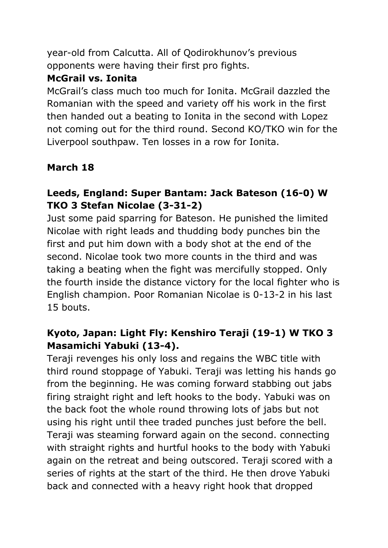year-old from Calcutta. All of Qodirokhunov's previous opponents were having their first pro fights.

## **McGrail vs. Ionita**

McGrail's class much too much for Ionita. McGrail dazzled the Romanian with the speed and variety off his work in the first then handed out a beating to Ionita in the second with Lopez not coming out for the third round. Second KO/TKO win for the Liverpool southpaw. Ten losses in a row for Ionita.

# **March 18**

# **Leeds, England: Super Bantam: Jack Bateson (16-0) W TKO 3 Stefan Nicolae (3-31-2)**

Just some paid sparring for Bateson. He punished the limited Nicolae with right leads and thudding body punches bin the first and put him down with a body shot at the end of the second. Nicolae took two more counts in the third and was taking a beating when the fight was mercifully stopped. Only the fourth inside the distance victory for the local fighter who is English champion. Poor Romanian Nicolae is 0-13-2 in his last 15 bouts.

# **Kyoto, Japan: Light Fly: Kenshiro Teraji (19-1) W TKO 3 Masamichi Yabuki (13-4).**

Teraji revenges his only loss and regains the WBC title with third round stoppage of Yabuki. Teraji was letting his hands go from the beginning. He was coming forward stabbing out jabs firing straight right and left hooks to the body. Yabuki was on the back foot the whole round throwing lots of jabs but not using his right until thee traded punches just before the bell. Teraji was steaming forward again on the second. connecting with straight rights and hurtful hooks to the body with Yabuki again on the retreat and being outscored. Teraji scored with a series of rights at the start of the third. He then drove Yabuki back and connected with a heavy right hook that dropped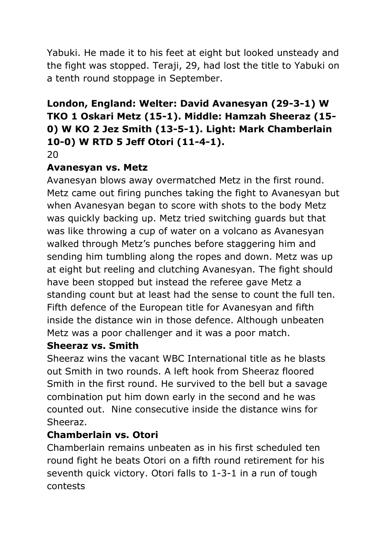Yabuki. He made it to his feet at eight but looked unsteady and the fight was stopped. Teraji, 29, had lost the title to Yabuki on a tenth round stoppage in September.

# **London, England: Welter: David Avanesyan (29-3-1) W TKO 1 Oskari Metz (15-1). Middle: Hamzah Sheeraz (15- 0) W KO 2 Jez Smith (13-5-1). Light: Mark Chamberlain 10-0) W RTD 5 Jeff Otori (11-4-1).**

20

## **Avanesyan vs. Metz**

Avanesyan blows away overmatched Metz in the first round. Metz came out firing punches taking the fight to Avanesyan but when Avanesyan began to score with shots to the body Metz was quickly backing up. Metz tried switching guards but that was like throwing a cup of water on a volcano as Avanesyan walked through Metz's punches before staggering him and sending him tumbling along the ropes and down. Metz was up at eight but reeling and clutching Avanesyan. The fight should have been stopped but instead the referee gave Metz a standing count but at least had the sense to count the full ten. Fifth defence of the European title for Avanesyan and fifth inside the distance win in those defence. Although unbeaten Metz was a poor challenger and it was a poor match.

## **Sheeraz vs. Smith**

Sheeraz wins the vacant WBC International title as he blasts out Smith in two rounds. A left hook from Sheeraz floored Smith in the first round. He survived to the bell but a savage combination put him down early in the second and he was counted out. Nine consecutive inside the distance wins for Sheeraz.

# **Chamberlain vs. Otori**

Chamberlain remains unbeaten as in his first scheduled ten round fight he beats Otori on a fifth round retirement for his seventh quick victory. Otori falls to 1-3-1 in a run of tough contests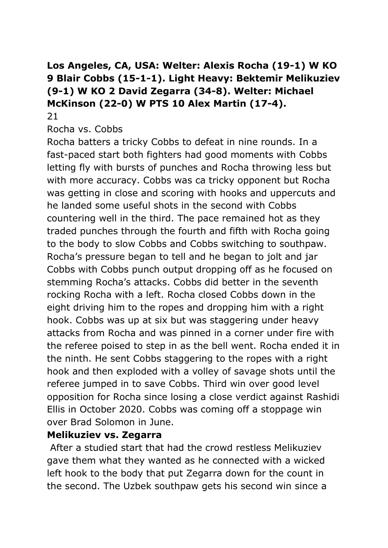# **Los Angeles, CA, USA: Welter: Alexis Rocha (19-1) W KO 9 Blair Cobbs (15-1-1). Light Heavy: Bektemir Melikuziev (9-1) W KO 2 David Zegarra (34-8). Welter: Michael McKinson (22-0) W PTS 10 Alex Martin (17-4).**

21

Rocha vs. Cobbs

Rocha batters a tricky Cobbs to defeat in nine rounds. In a fast-paced start both fighters had good moments with Cobbs letting fly with bursts of punches and Rocha throwing less but with more accuracy. Cobbs was ca tricky opponent but Rocha was getting in close and scoring with hooks and uppercuts and he landed some useful shots in the second with Cobbs countering well in the third. The pace remained hot as they traded punches through the fourth and fifth with Rocha going to the body to slow Cobbs and Cobbs switching to southpaw. Rocha's pressure began to tell and he began to jolt and jar Cobbs with Cobbs punch output dropping off as he focused on stemming Rocha's attacks. Cobbs did better in the seventh rocking Rocha with a left. Rocha closed Cobbs down in the eight driving him to the ropes and dropping him with a right hook. Cobbs was up at six but was staggering under heavy attacks from Rocha and was pinned in a corner under fire with the referee poised to step in as the bell went. Rocha ended it in the ninth. He sent Cobbs staggering to the ropes with a right hook and then exploded with a volley of savage shots until the referee jumped in to save Cobbs. Third win over good level opposition for Rocha since losing a close verdict against Rashidi Ellis in October 2020. Cobbs was coming off a stoppage win over Brad Solomon in June.

### **Melikuziev vs. Zegarra**

After a studied start that had the crowd restless Melikuziev gave them what they wanted as he connected with a wicked left hook to the body that put Zegarra down for the count in the second. The Uzbek southpaw gets his second win since a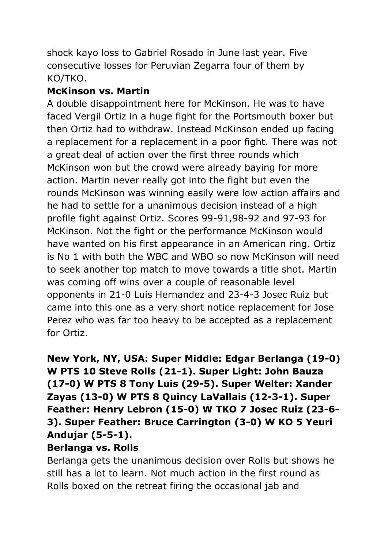shock kayo loss to Gabriel Rosado in June last year. Five consecutive losses for Peruvian Zegarra four of them by KO/TKO.

## **McKinson vs. Martin**

A double disappointment here for McKinson. He was to have faced Vergil Ortiz in a huge fight for the Portsmouth boxer but then Ortiz had to withdraw. Instead McKinson ended up facing a replacement for a replacement in a poor fight. There was not a great deal of action over the first three rounds which McKinson won but the crowd were already baying for more action. Martin never really got into the fight but even the rounds McKinson was winning easily were low action affairs and he had to settle for a unanimous decision instead of a high profile fight against Ortiz. Scores 99-91,98-92 and 97-93 for McKinson. Not the fight or the performance McKinson would have wanted on his first appearance in an American ring. Ortiz is No 1 with both the WBC and WBO so now McKinson will need to seek another top match to move towards a title shot. Martin was coming off wins over a couple of reasonable level opponents in 21-0 Luis Hernandez and 23-4-3 Josec Ruiz but came into this one as a very short notice replacement for Jose Perez who was far too heavy to be accepted as a replacement for Ortiz.

# **New York, NY, USA: Super Middle: Edgar Berlanga (19-0) W PTS 10 Steve Rolls (21-1). Super Light: John Bauza (17-0) W PTS 8 Tony Luis (29-5). Super Welter: Xander Zayas (13-0) W PTS 8 Quincy LaVallais (12-3-1). Super Feather: Henry Lebron (15-0) W TKO 7 Josec Ruiz (23-6- 3). Super Feather: Bruce Carrington (3-0) W KO 5 Yeuri Andujar (5-5-1).**

### **Berlanga vs. Rolls**

Berlanga gets the unanimous decision over Rolls but shows he still has a lot to learn. Not much action in the first round as Rolls boxed on the retreat firing the occasional jab and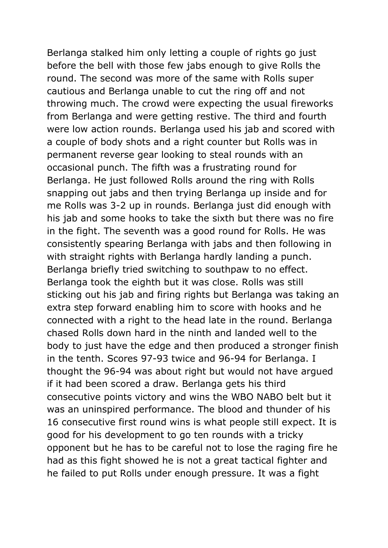Berlanga stalked him only letting a couple of rights go just before the bell with those few jabs enough to give Rolls the round. The second was more of the same with Rolls super cautious and Berlanga unable to cut the ring off and not throwing much. The crowd were expecting the usual fireworks from Berlanga and were getting restive. The third and fourth were low action rounds. Berlanga used his jab and scored with a couple of body shots and a right counter but Rolls was in permanent reverse gear looking to steal rounds with an occasional punch. The fifth was a frustrating round for Berlanga. He just followed Rolls around the ring with Rolls snapping out jabs and then trying Berlanga up inside and for me Rolls was 3-2 up in rounds. Berlanga just did enough with his jab and some hooks to take the sixth but there was no fire in the fight. The seventh was a good round for Rolls. He was consistently spearing Berlanga with jabs and then following in with straight rights with Berlanga hardly landing a punch. Berlanga briefly tried switching to southpaw to no effect. Berlanga took the eighth but it was close. Rolls was still sticking out his jab and firing rights but Berlanga was taking an extra step forward enabling him to score with hooks and he connected with a right to the head late in the round. Berlanga chased Rolls down hard in the ninth and landed well to the body to just have the edge and then produced a stronger finish in the tenth. Scores 97-93 twice and 96-94 for Berlanga. I thought the 96-94 was about right but would not have argued if it had been scored a draw. Berlanga gets his third consecutive points victory and wins the WBO NABO belt but it was an uninspired performance. The blood and thunder of his 16 consecutive first round wins is what people still expect. It is good for his development to go ten rounds with a tricky opponent but he has to be careful not to lose the raging fire he had as this fight showed he is not a great tactical fighter and he failed to put Rolls under enough pressure. It was a fight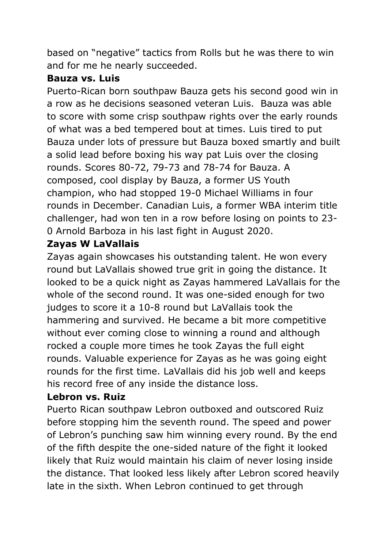based on "negative" tactics from Rolls but he was there to win and for me he nearly succeeded.

## **Bauza vs. Luis**

Puerto-Rican born southpaw Bauza gets his second good win in a row as he decisions seasoned veteran Luis. Bauza was able to score with some crisp southpaw rights over the early rounds of what was a bed tempered bout at times. Luis tired to put Bauza under lots of pressure but Bauza boxed smartly and built a solid lead before boxing his way pat Luis over the closing rounds. Scores 80-72, 79-73 and 78-74 for Bauza. A composed, cool display by Bauza, a former US Youth champion, who had stopped 19-0 Michael Williams in four rounds in December. Canadian Luis, a former WBA interim title challenger, had won ten in a row before losing on points to 23- 0 Arnold Barboza in his last fight in August 2020.

# **Zayas W LaVallais**

Zayas again showcases his outstanding talent. He won every round but LaVallais showed true grit in going the distance. It looked to be a quick night as Zayas hammered LaVallais for the whole of the second round. It was one-sided enough for two judges to score it a 10-8 round but LaVallais took the hammering and survived. He became a bit more competitive without ever coming close to winning a round and although rocked a couple more times he took Zayas the full eight rounds. Valuable experience for Zayas as he was going eight rounds for the first time. LaVallais did his job well and keeps his record free of any inside the distance loss.

# **Lebron vs. Ruiz**

Puerto Rican southpaw Lebron outboxed and outscored Ruiz before stopping him the seventh round. The speed and power of Lebron's punching saw him winning every round. By the end of the fifth despite the one-sided nature of the fight it looked likely that Ruiz would maintain his claim of never losing inside the distance. That looked less likely after Lebron scored heavily late in the sixth. When Lebron continued to get through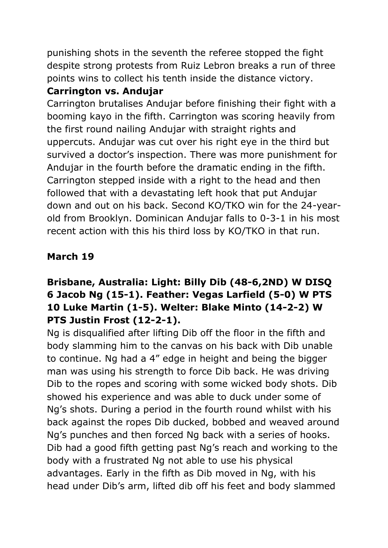punishing shots in the seventh the referee stopped the fight despite strong protests from Ruiz Lebron breaks a run of three points wins to collect his tenth inside the distance victory.

# **Carrington vs. Andujar**

Carrington brutalises Andujar before finishing their fight with a booming kayo in the fifth. Carrington was scoring heavily from the first round nailing Andujar with straight rights and uppercuts. Andujar was cut over his right eye in the third but survived a doctor's inspection. There was more punishment for Andujar in the fourth before the dramatic ending in the fifth. Carrington stepped inside with a right to the head and then followed that with a devastating left hook that put Andujar down and out on his back. Second KO/TKO win for the 24-yearold from Brooklyn. Dominican Andujar falls to 0-3-1 in his most recent action with this his third loss by KO/TKO in that run.

# **March 19**

# **Brisbane, Australia: Light: Billy Dib (48-6,2ND) W DISQ 6 Jacob Ng (15-1). Feather: Vegas Larfield (5-0) W PTS 10 Luke Martin (1-5). Welter: Blake Minto (14-2-2) W PTS Justin Frost (12-2-1).**

Ng is disqualified after lifting Dib off the floor in the fifth and body slamming him to the canvas on his back with Dib unable to continue. Ng had a 4" edge in height and being the bigger man was using his strength to force Dib back. He was driving Dib to the ropes and scoring with some wicked body shots. Dib showed his experience and was able to duck under some of Ng's shots. During a period in the fourth round whilst with his back against the ropes Dib ducked, bobbed and weaved around Ng's punches and then forced Ng back with a series of hooks. Dib had a good fifth getting past Ng's reach and working to the body with a frustrated Ng not able to use his physical advantages. Early in the fifth as Dib moved in Ng, with his head under Dib's arm, lifted dib off his feet and body slammed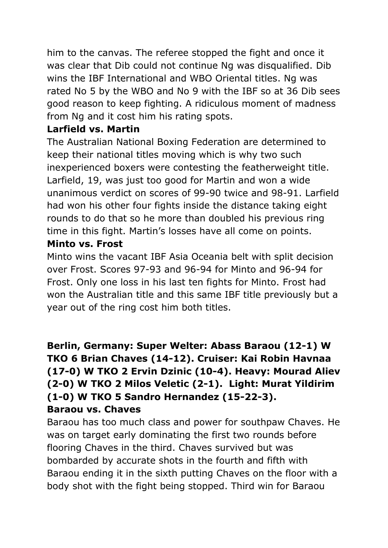him to the canvas. The referee stopped the fight and once it was clear that Dib could not continue Ng was disqualified. Dib wins the IBF International and WBO Oriental titles. Ng was rated No 5 by the WBO and No 9 with the IBF so at 36 Dib sees good reason to keep fighting. A ridiculous moment of madness from Ng and it cost him his rating spots.

## **Larfield vs. Martin**

The Australian National Boxing Federation are determined to keep their national titles moving which is why two such inexperienced boxers were contesting the featherweight title. Larfield, 19, was just too good for Martin and won a wide unanimous verdict on scores of 99-90 twice and 98-91. Larfield had won his other four fights inside the distance taking eight rounds to do that so he more than doubled his previous ring time in this fight. Martin's losses have all come on points.

## **Minto vs. Frost**

Minto wins the vacant IBF Asia Oceania belt with split decision over Frost. Scores 97-93 and 96-94 for Minto and 96-94 for Frost. Only one loss in his last ten fights for Minto. Frost had won the Australian title and this same IBF title previously but a year out of the ring cost him both titles.

# **Berlin, Germany: Super Welter: Abass Baraou (12-1) W TKO 6 Brian Chaves (14-12). Cruiser: Kai Robin Havnaa (17-0) W TKO 2 Ervin Dzinic (10-4). Heavy: Mourad Aliev (2-0) W TKO 2 Milos Veletic (2-1). Light: Murat Yildirim (1-0) W TKO 5 Sandro Hernandez (15-22-3). Baraou vs. Chaves**

Baraou has too much class and power for southpaw Chaves. He was on target early dominating the first two rounds before flooring Chaves in the third. Chaves survived but was bombarded by accurate shots in the fourth and fifth with Baraou ending it in the sixth putting Chaves on the floor with a body shot with the fight being stopped. Third win for Baraou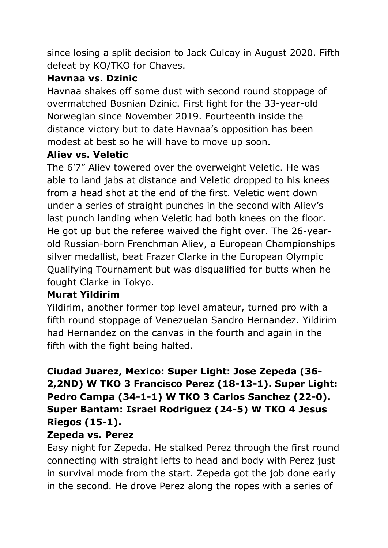since losing a split decision to Jack Culcay in August 2020. Fifth defeat by KO/TKO for Chaves.

# **Havnaa vs. Dzinic**

Havnaa shakes off some dust with second round stoppage of overmatched Bosnian Dzinic. First fight for the 33-year-old Norwegian since November 2019. Fourteenth inside the distance victory but to date Havnaa's opposition has been modest at best so he will have to move up soon.

# **Aliev vs. Veletic**

The 6'7" Aliev towered over the overweight Veletic. He was able to land jabs at distance and Veletic dropped to his knees from a head shot at the end of the first. Veletic went down under a series of straight punches in the second with Aliev's last punch landing when Veletic had both knees on the floor. He got up but the referee waived the fight over. The 26-yearold Russian-born Frenchman Aliev, a European Championships silver medallist, beat Frazer Clarke in the European Olympic Qualifying Tournament but was disqualified for butts when he fought Clarke in Tokyo.

# **Murat Yildirim**

Yildirim, another former top level amateur, turned pro with a fifth round stoppage of Venezuelan Sandro Hernandez. Yildirim had Hernandez on the canvas in the fourth and again in the fifth with the fight being halted.

# **Ciudad Juarez, Mexico: Super Light: Jose Zepeda (36- 2,2ND) W TKO 3 Francisco Perez (18-13-1). Super Light: Pedro Campa (34-1-1) W TKO 3 Carlos Sanchez (22-0). Super Bantam: Israel Rodriguez (24-5) W TKO 4 Jesus Riegos (15-1).**

# **Zepeda vs. Perez**

Easy night for Zepeda. He stalked Perez through the first round connecting with straight lefts to head and body with Perez just in survival mode from the start. Zepeda got the job done early in the second. He drove Perez along the ropes with a series of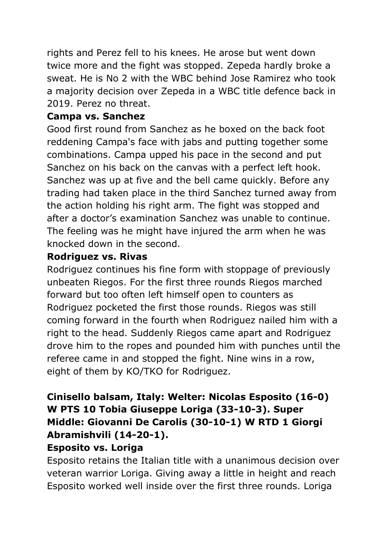rights and Perez fell to his knees. He arose but went down twice more and the fight was stopped. Zepeda hardly broke a sweat. He is No 2 with the WBC behind Jose Ramirez who took a majority decision over Zepeda in a WBC title defence back in 2019. Perez no threat.

## **Campa vs. Sanchez**

Good first round from Sanchez as he boxed on the back foot reddening Campa's face with jabs and putting together some combinations. Campa upped his pace in the second and put Sanchez on his back on the canvas with a perfect left hook. Sanchez was up at five and the bell came quickly. Before any trading had taken place in the third Sanchez turned away from the action holding his right arm. The fight was stopped and after a doctor's examination Sanchez was unable to continue. The feeling was he might have injured the arm when he was knocked down in the second.

## **Rodriguez vs. Rivas**

Rodriguez continues his fine form with stoppage of previously unbeaten Riegos. For the first three rounds Riegos marched forward but too often left himself open to counters as Rodriguez pocketed the first those rounds. Riegos was still coming forward in the fourth when Rodriguez nailed him with a right to the head. Suddenly Riegos came apart and Rodriguez drove him to the ropes and pounded him with punches until the referee came in and stopped the fight. Nine wins in a row, eight of them by KO/TKO for Rodriguez.

# **Cinisello balsam, Italy: Welter: Nicolas Esposito (16-0) W PTS 10 Tobia Giuseppe Loriga (33-10-3). Super Middle: Giovanni De Carolis (30-10-1) W RTD 1 Giorgi Abramishvili (14-20-1).**

## **Esposito vs. Loriga**

Esposito retains the Italian title with a unanimous decision over veteran warrior Loriga. Giving away a little in height and reach Esposito worked well inside over the first three rounds. Loriga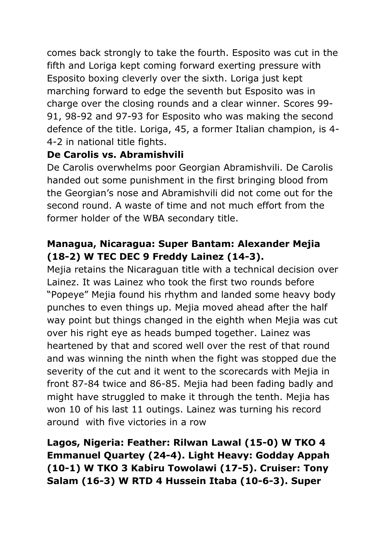comes back strongly to take the fourth. Esposito was cut in the fifth and Loriga kept coming forward exerting pressure with Esposito boxing cleverly over the sixth. Loriga just kept marching forward to edge the seventh but Esposito was in charge over the closing rounds and a clear winner. Scores 99- 91, 98-92 and 97-93 for Esposito who was making the second defence of the title. Loriga, 45, a former Italian champion, is 4- 4-2 in national title fights.

## **De Carolis vs. Abramishvili**

De Carolis overwhelms poor Georgian Abramishvili. De Carolis handed out some punishment in the first bringing blood from the Georgian's nose and Abramishvili did not come out for the second round. A waste of time and not much effort from the former holder of the WBA secondary title.

# **Managua, Nicaragua: Super Bantam: Alexander Mejia (18-2) W TEC DEC 9 Freddy Lainez (14-3).**

Mejia retains the Nicaraguan title with a technical decision over Lainez. It was Lainez who took the first two rounds before "Popeye" Mejia found his rhythm and landed some heavy body punches to even things up. Mejia moved ahead after the half way point but things changed in the eighth when Mejia was cut over his right eye as heads bumped together. Lainez was heartened by that and scored well over the rest of that round and was winning the ninth when the fight was stopped due the severity of the cut and it went to the scorecards with Mejia in front 87-84 twice and 86-85. Mejia had been fading badly and might have struggled to make it through the tenth. Mejia has won 10 of his last 11 outings. Lainez was turning his record around with five victories in a row

# **Lagos, Nigeria: Feather: Rilwan Lawal (15-0) W TKO 4 Emmanuel Quartey (24-4). Light Heavy: Godday Appah (10-1) W TKO 3 Kabiru Towolawi (17-5). Cruiser: Tony Salam (16-3) W RTD 4 Hussein Itaba (10-6-3). Super**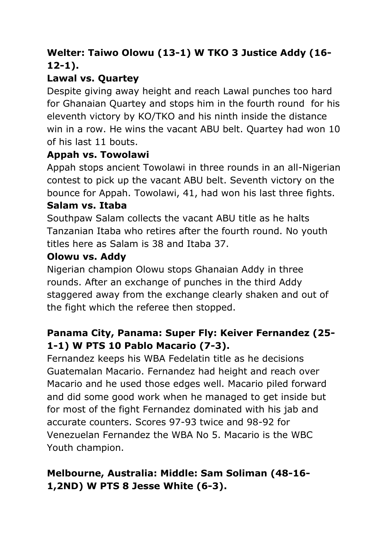# **Welter: Taiwo Olowu (13-1) W TKO 3 Justice Addy (16- 12-1).**

# **Lawal vs. Quartey**

Despite giving away height and reach Lawal punches too hard for Ghanaian Quartey and stops him in the fourth round for his eleventh victory by KO/TKO and his ninth inside the distance win in a row. He wins the vacant ABU belt. Quartey had won 10 of his last 11 bouts.

# **Appah vs. Towolawi**

Appah stops ancient Towolawi in three rounds in an all-Nigerian contest to pick up the vacant ABU belt. Seventh victory on the bounce for Appah. Towolawi, 41, had won his last three fights. **Salam vs. Itaba**

Southpaw Salam collects the vacant ABU title as he halts Tanzanian Itaba who retires after the fourth round. No youth titles here as Salam is 38 and Itaba 37.

## **Olowu vs. Addy**

Nigerian champion Olowu stops Ghanaian Addy in three rounds. After an exchange of punches in the third Addy staggered away from the exchange clearly shaken and out of the fight which the referee then stopped.

# **Panama City, Panama: Super Fly: Keiver Fernandez (25- 1-1) W PTS 10 Pablo Macario (7-3).**

Fernandez keeps his WBA Fedelatin title as he decisions Guatemalan Macario. Fernandez had height and reach over Macario and he used those edges well. Macario piled forward and did some good work when he managed to get inside but for most of the fight Fernandez dominated with his jab and accurate counters. Scores 97-93 twice and 98-92 for Venezuelan Fernandez the WBA No 5. Macario is the WBC Youth champion.

# **Melbourne, Australia: Middle: Sam Soliman (48-16- 1,2ND) W PTS 8 Jesse White (6-3).**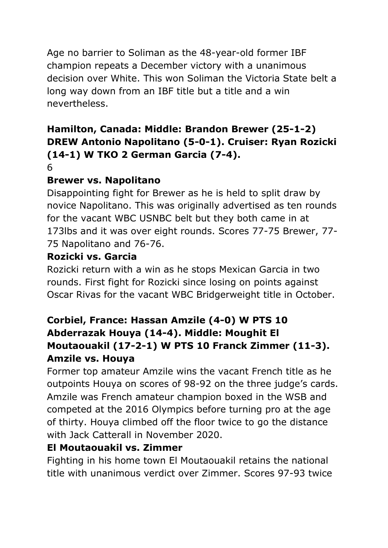Age no barrier to Soliman as the 48-year-old former IBF champion repeats a December victory with a unanimous decision over White. This won Soliman the Victoria State belt a long way down from an IBF title but a title and a win nevertheless.

# **Hamilton, Canada: Middle: Brandon Brewer (25-1-2) DREW Antonio Napolitano (5-0-1). Cruiser: Ryan Rozicki (14-1) W TKO 2 German Garcia (7-4).**

## 6

# **Brewer vs. Napolitano**

Disappointing fight for Brewer as he is held to split draw by novice Napolitano. This was originally advertised as ten rounds for the vacant WBC USNBC belt but they both came in at 173lbs and it was over eight rounds. Scores 77-75 Brewer, 77- 75 Napolitano and 76-76.

# **Rozicki vs. Garcia**

Rozicki return with a win as he stops Mexican Garcia in two rounds. First fight for Rozicki since losing on points against Oscar Rivas for the vacant WBC Bridgerweight title in October.

# **Corbiel, France: Hassan Amzile (4-0) W PTS 10 Abderrazak Houya (14-4). Middle: Moughit El Moutaouakil (17-2-1) W PTS 10 Franck Zimmer (11-3). Amzile vs. Houya**

Former top amateur Amzile wins the vacant French title as he outpoints Houya on scores of 98-92 on the three judge's cards. Amzile was French amateur champion boxed in the WSB and competed at the 2016 Olympics before turning pro at the age of thirty. Houya climbed off the floor twice to go the distance with Jack Catterall in November 2020.

## **El Moutaouakil vs. Zimmer**

Fighting in his home town El Moutaouakil retains the national title with unanimous verdict over Zimmer. Scores 97-93 twice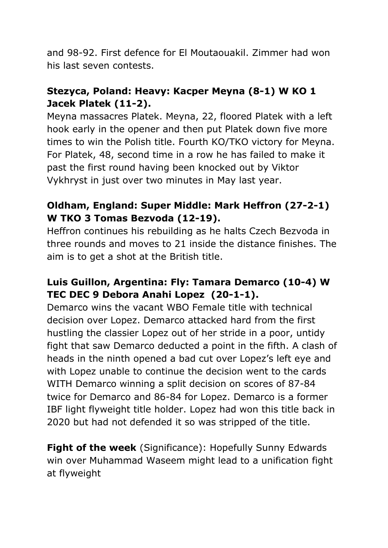and 98-92. First defence for El Moutaouakil. Zimmer had won his last seven contests.

# **Stezyca, Poland: Heavy: Kacper Meyna (8-1) W KO 1 Jacek Platek (11-2).**

Meyna massacres Platek. Meyna, 22, floored Platek with a left hook early in the opener and then put Platek down five more times to win the Polish title. Fourth KO/TKO victory for Meyna. For Platek, 48, second time in a row he has failed to make it past the first round having been knocked out by Viktor Vykhryst in just over two minutes in May last year.

# **Oldham, England: Super Middle: Mark Heffron (27-2-1) W TKO 3 Tomas Bezvoda (12-19).**

Heffron continues his rebuilding as he halts Czech Bezvoda in three rounds and moves to 21 inside the distance finishes. The aim is to get a shot at the British title.

# **Luis Guillon, Argentina: Fly: Tamara Demarco (10-4) W TEC DEC 9 Debora Anahi Lopez (20-1-1).**

Demarco wins the vacant WBO Female title with technical decision over Lopez. Demarco attacked hard from the first hustling the classier Lopez out of her stride in a poor, untidy fight that saw Demarco deducted a point in the fifth. A clash of heads in the ninth opened a bad cut over Lopez's left eye and with Lopez unable to continue the decision went to the cards WITH Demarco winning a split decision on scores of 87-84 twice for Demarco and 86-84 for Lopez. Demarco is a former IBF light flyweight title holder. Lopez had won this title back in 2020 but had not defended it so was stripped of the title.

**Fight of the week** (Significance): Hopefully Sunny Edwards win over Muhammad Waseem might lead to a unification fight at flyweight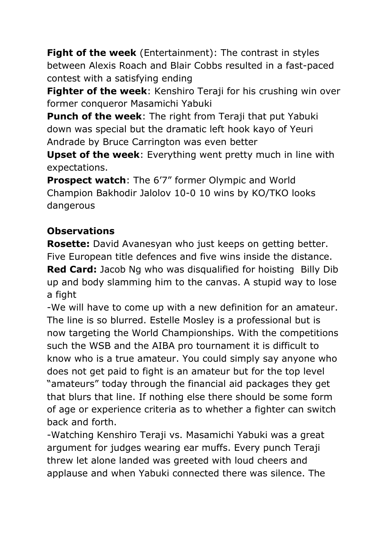**Fight of the week** (Entertainment): The contrast in styles between Alexis Roach and Blair Cobbs resulted in a fast-paced contest with a satisfying ending

**Fighter of the week**: Kenshiro Teraji for his crushing win over former conqueror Masamichi Yabuki

**Punch of the week**: The right from Teraji that put Yabuki down was special but the dramatic left hook kayo of Yeuri Andrade by Bruce Carrington was even better

**Upset of the week**: Everything went pretty much in line with expectations.

**Prospect watch**: The 6'7" former Olympic and World Champion Bakhodir Jalolov 10-0 10 wins by KO/TKO looks dangerous

# **Observations**

**Rosette:** David Avanesyan who just keeps on getting better. Five European title defences and five wins inside the distance. **Red Card:** Jacob Ng who was disqualified for hoisting Billy Dib up and body slamming him to the canvas. A stupid way to lose a fight

-We will have to come up with a new definition for an amateur. The line is so blurred. Estelle Mosley is a professional but is now targeting the World Championships. With the competitions such the WSB and the AIBA pro tournament it is difficult to know who is a true amateur. You could simply say anyone who does not get paid to fight is an amateur but for the top level "amateurs" today through the financial aid packages they get that blurs that line. If nothing else there should be some form of age or experience criteria as to whether a fighter can switch back and forth.

-Watching Kenshiro Teraji vs. Masamichi Yabuki was a great argument for judges wearing ear muffs. Every punch Teraji threw let alone landed was greeted with loud cheers and applause and when Yabuki connected there was silence. The